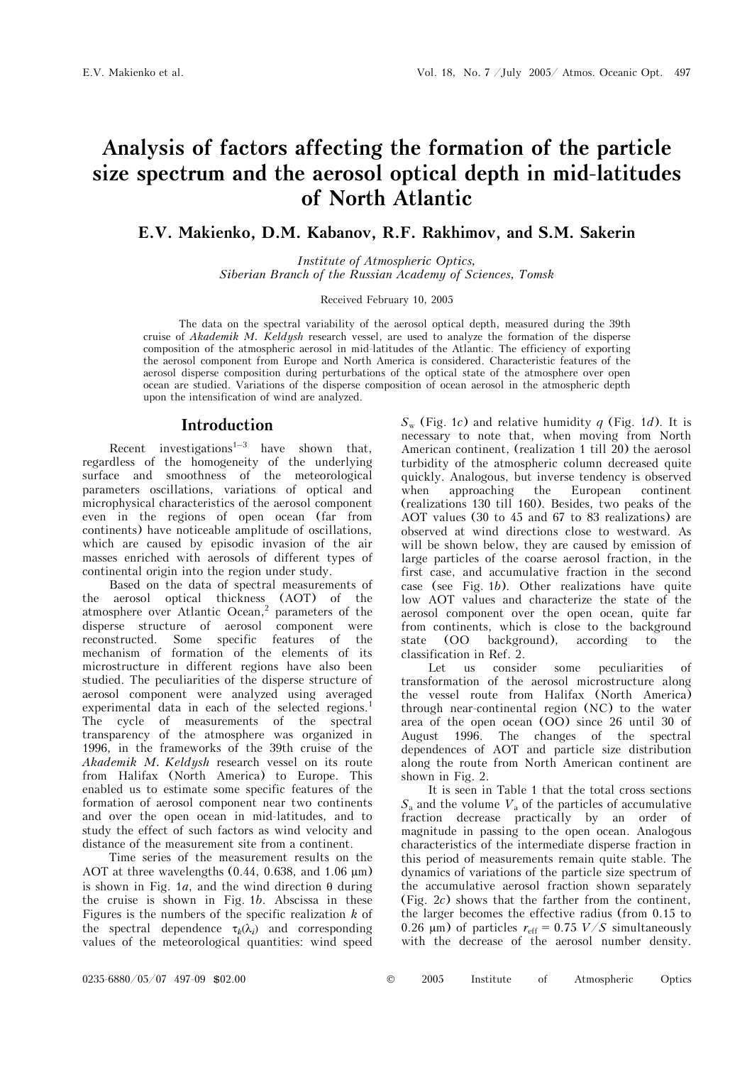# **Analysis of factors affecting the formation of the particle size spectrum and the aerosol optical depth in mid-latitudes of North Atlantic**

**E.V. Makienko, D.M. Kabanov, R.F. Rakhimov, and S.M. Sakerin** 

*Institute of Atmospheric Optics, Siberian Branch of the Russian Academy of Sciences, Tomsk* 

Received February 10, 2005

The data on the spectral variability of the aerosol optical depth, measured during the 39th cruise of *Akademik M. Keldysh* research vessel, are used to analyze the formation of the disperse composition of the atmospheric aerosol in mid-latitudes of the Atlantic. The efficiency of exporting the aerosol component from Europe and North America is considered. Characteristic features of the aerosol disperse composition during perturbations of the optical state of the atmosphere over open ocean are studied. Variations of the disperse composition of ocean aerosol in the atmospheric depth upon the intensification of wind are analyzed.

### **Introduction**

Recent investigations<sup>1–3</sup> have shown that, regardless of the homogeneity of the underlying surface and smoothness of the meteorological parameters oscillations, variations of optical and microphysical characteristics of the aerosol component even in the regions of open ocean (far from continents) have noticeable amplitude of oscillations, which are caused by episodic invasion of the air masses enriched with aerosols of different types of continental origin into the region under study.

Based on the data of spectral measurements of the aerosol optical thickness (AOT) of the atmosphere over Atlantic Ocean,<sup>2</sup> parameters of the disperse structure of aerosol component were reconstructed. Some specific features of the mechanism of formation of the elements of its microstructure in different regions have also been studied. The peculiarities of the disperse structure of aerosol component were analyzed using averaged experimental data in each of the selected regions.<sup>1</sup> The cycle of measurements of the spectral transparency of the atmosphere was organized in 1996, in the frameworks of the 39th cruise of the *Akademik M. Keldysh* research vessel on its route from Halifax (North America) to Europe. This enabled us to estimate some specific features of the formation of aerosol component near two continents and over the open ocean in mid-latitudes, and to study the effect of such factors as wind velocity and distance of the measurement site from a continent.

Time series of the measurement results on the AOT at three wavelengths  $(0.44, 0.638, \text{ and } 1.06 \text{ }\mu\text{m})$ is shown in Fig. 1*a*, and the wind direction θ during the cruise is shown in Fig. 1*b*. Abscissa in these Figures is the numbers of the specific realization *k* of the spectral dependence  $\tau_k(\lambda_i)$  and corresponding values of the meteorological quantities: wind speed

 $S_{w}$  (Fig. 1*c*) and relative humidity *q* (Fig. 1*d*). It is necessary to note that, when moving from North American continent, (realization 1 till 20) the aerosol turbidity of the atmospheric column decreased quite quickly. Analogous, but inverse tendency is observed when approaching the European continent (realizations 130 till 160). Besides, two peaks of the AOT values (30 to 45 and 67 to 83 realizations) are observed at wind directions close to westward. As will be shown below, they are caused by emission of large particles of the coarse aerosol fraction, in the first case, and accumulative fraction in the second case (see Fig. 1*b*). Other realizations have quite low AOT values and characterize the state of the aerosol component over the open ocean, quite far from continents, which is close to the background state (OO background), according to the classification in Ref. 2.

Let us consider some peculiarities of transformation of the aerosol microstructure along the vessel route from Halifax (North America) through near-continental region (NC) to the water area of the open ocean (OO) since 26 until 30 of August 1996. The changes of the spectral dependences of AOT and particle size distribution along the route from North American continent are shown in Fig. 2.

It is seen in Table 1 that the total cross sections  $S_a$  and the volume  $V_a$  of the particles of accumulative fraction decrease practically by an order of magnitude in passing to the open ocean. Analogous characteristics of the intermediate disperse fraction in this period of measurements remain quite stable. The dynamics of variations of the particle size spectrum of the accumulative aerosol fraction shown separately (Fig. 2*c*) shows that the farther from the continent, the larger becomes the effective radius (from 0.15 to 0.26  $\mu$ m) of particles  $r_{\text{eff}} = 0.75$  *V/S* simultaneously with the decrease of the aerosol number density.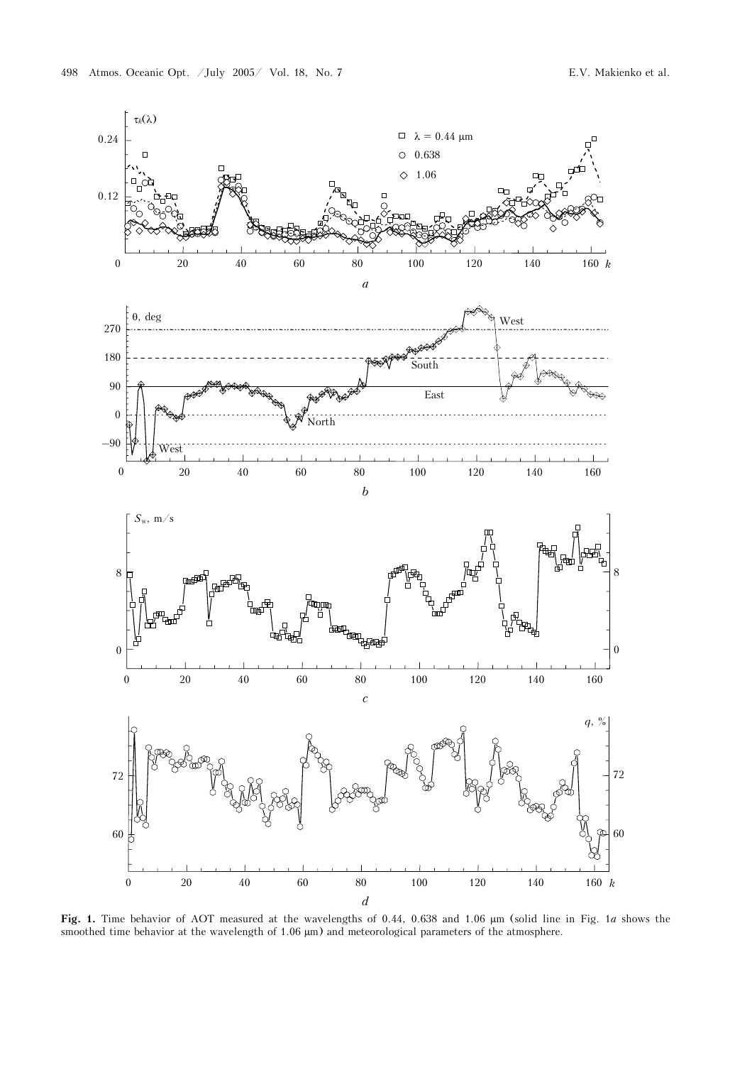

**Fig. 1.** Time behavior of AOT measured at the wavelengths of 0.44, 0.638 and 1.06 µm (solid line in Fig. 1*a* shows the smoothed time behavior at the wavelength of 1.06  $\mu$ m) and meteorological parameters of the atmosphere.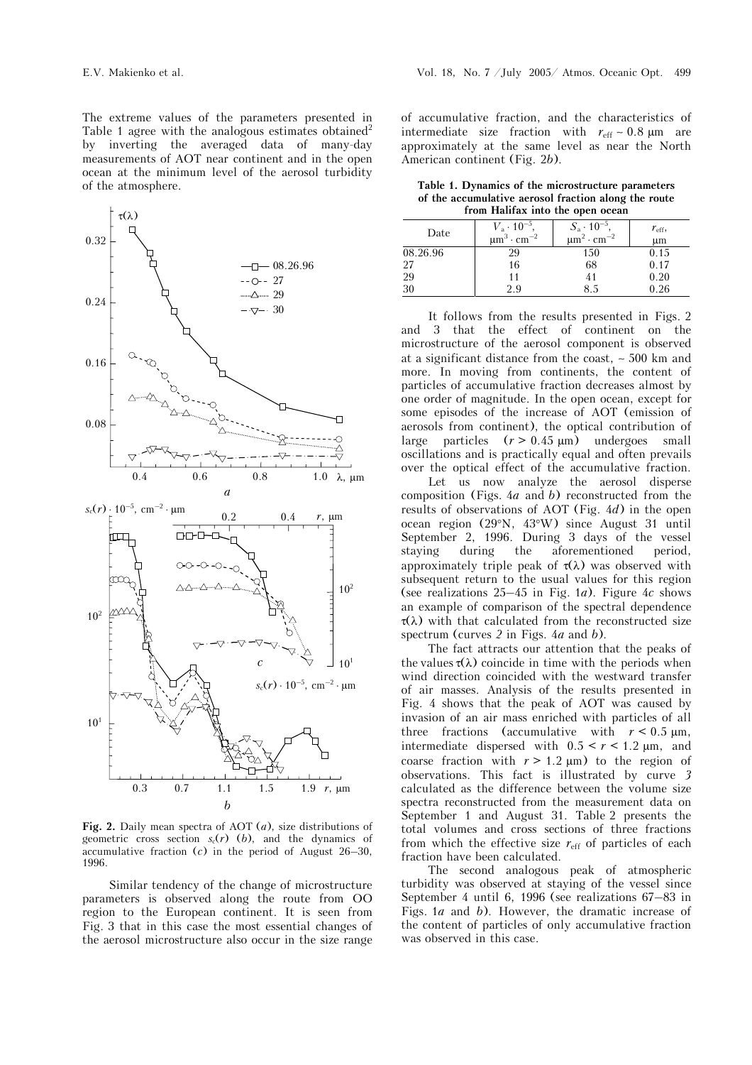The extreme values of the parameters presented in Table 1 agree with the analogous estimates obtained<sup>2</sup> by inverting the averaged data of many-day measurements of AOT near continent and in the open ocean at the minimum level of the aerosol turbidity of the atmosphere.



**Fig. 2.** Daily mean spectra of AOT (*a*), size distributions of geometric cross section  $s_c(r)$  (*b*), and the dynamics of accumulative fraction (*c*) in the period of August 26–30, 1996.

Similar tendency of the change of microstructure parameters is observed along the route from OO region to the European continent. It is seen from Fig. 3 that in this case the most essential changes of the aerosol microstructure also occur in the size range

of accumulative fraction, and the characteristics of intermediate size fraction with *r*eff ∼ 0.8 µm are approximately at the same level as near the North American continent (Fig. 2*b*).

**Table 1. Dynamics of the microstructure parameters of the accumulative aerosol fraction along the route from Halifax into the open ocean** 

| пош нашах шо сис орен осеан |                                         |                                         |               |  |  |  |  |  |
|-----------------------------|-----------------------------------------|-----------------------------------------|---------------|--|--|--|--|--|
| Date                        | $V_{\rm a} \cdot 10^{-5}$ .             | $S_{\rm a} \cdot 10^{-5}$ ,             | $r_{\rm eff}$ |  |  |  |  |  |
|                             | $\mu$ m <sup>3</sup> · cm <sup>-2</sup> | $\mu$ m <sup>2</sup> · cm <sup>-2</sup> | $\mu$ m       |  |  |  |  |  |
| 08.26.96                    | 29                                      | 150                                     | 0.15          |  |  |  |  |  |
| 27                          | 16                                      | 68                                      | 0.17          |  |  |  |  |  |
| 29                          | 11                                      | 41                                      | 0.20          |  |  |  |  |  |
| 30                          | 2.9                                     | 8.5                                     | 0.26          |  |  |  |  |  |

It follows from the results presented in Figs. 2 and 3 that the effect of continent on the microstructure of the aerosol component is observed at a significant distance from the coast, ∼ 500 km and more. In moving from continents, the content of particles of accumulative fraction decreases almost by one order of magnitude. In the open ocean, except for some episodes of the increase of AOT (emission of aerosols from continent), the optical contribution of large particles  $(r > 0.45 \mu m)$  undergoes small oscillations and is practically equal and often prevails over the optical effect of the accumulative fraction.

 Let us now analyze the aerosol disperse composition (Figs. 4*a* and *b*) reconstructed from the results of observations of AOT (Fig. 4*d*) in the open ocean region (29°N, 43°W) since August 31 until September 2, 1996. During 3 days of the vessel staying during the aforementioned period, approximately triple peak of  $\tau(\lambda)$  was observed with subsequent return to the usual values for this region (see realizations 25–45 in Fig. 1*a*). Figure 4*c* shows an example of comparison of the spectral dependence  $\tau(\lambda)$  with that calculated from the reconstructed size spectrum (curves *2* in Figs. 4*a* and *b*).

The fact attracts our attention that the peaks of the values  $\tau(\lambda)$  coincide in time with the periods when wind direction coincided with the westward transfer of air masses. Analysis of the results presented in Fig. 4 shows that the peak of AOT was caused by invasion of an air mass enriched with particles of all three fractions (accumulative with  $r < 0.5 \mu m$ , intermediate dispersed with  $0.5 < r < 1.2$  µm, and coarse fraction with  $r > 1.2 \mu m$ ) to the region of observations. This fact is illustrated by curve *3* calculated as the difference between the volume size spectra reconstructed from the measurement data on September 1 and August 31. Table 2 presents the total volumes and cross sections of three fractions from which the effective size  $r_{\text{eff}}$  of particles of each fraction have been calculated.

The second analogous peak of atmospheric turbidity was observed at staying of the vessel since September 4 until 6, 1996 (see realizations 67–83 in Figs. 1*a* and *b*). However, the dramatic increase of the content of particles of only accumulative fraction was observed in this case.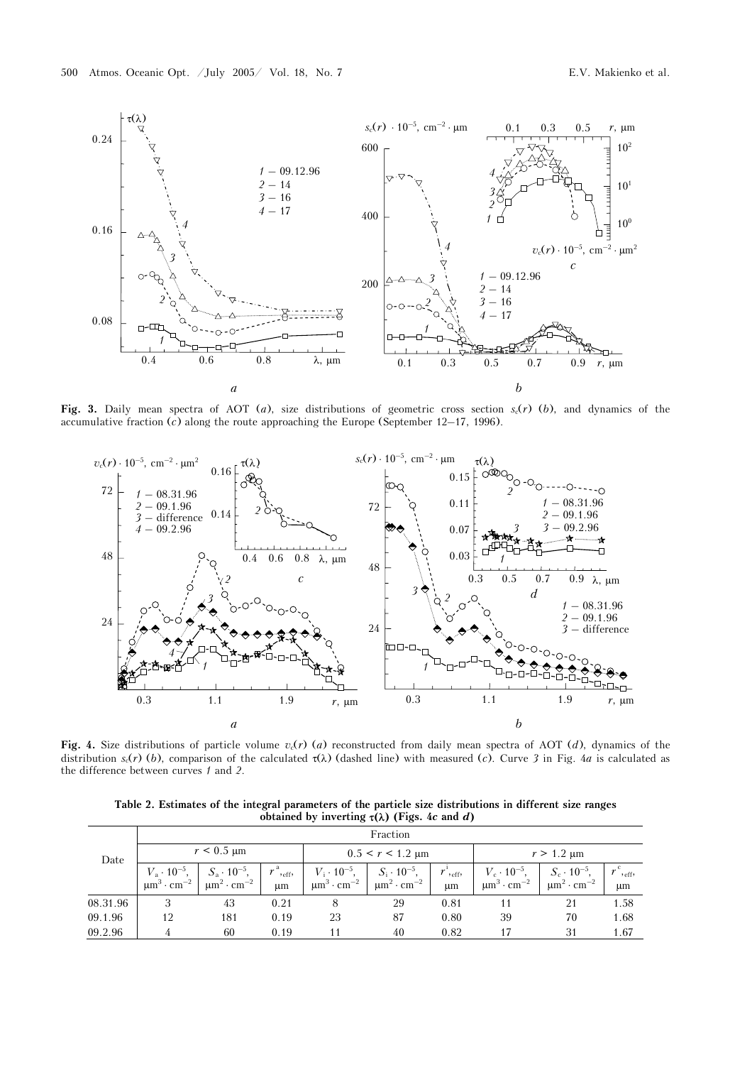

Fig. 3. Daily mean spectra of AOT (*a*), size distributions of geometric cross section  $s_c(r)$  (*b*), and dynamics of the accumulative fraction (*c*) along the route approaching the Europe (September 12–17, 1996).



**Fig. 4.** Size distributions of particle volume  $v_c(r)$  (*a*) reconstructed from daily mean spectra of AOT (*d*), dynamics of the distribution  $s_c(r)$  (*b*), comparison of the calculated  $\tau(\lambda)$  (dashed line) with measured (*c*). Curve 3 in Fig. 4*a* is calculated as the difference between curves *1* and *2*.

**Table 2. Estimates of the integral parameters of the particle size distributions in different size ranges obtained by inverting** τ**(**λ**) (Figs. 4***c* **and** *d***)** 

|          | Fraction                                          |                                                                        |                        |                                                                  |                                                                  |                                       |                                                                |                                                                  |                   |  |
|----------|---------------------------------------------------|------------------------------------------------------------------------|------------------------|------------------------------------------------------------------|------------------------------------------------------------------|---------------------------------------|----------------------------------------------------------------|------------------------------------------------------------------|-------------------|--|
| Date     | $r < 0.5 \text{ }\mu\text{m}$                     |                                                                        |                        | $0.5 < r < 1.2$ µm                                               |                                                                  |                                       | $r > 1.2 \mu m$                                                |                                                                  |                   |  |
|          | $V_{\rm a} \cdot 10^{-5}$<br>$\mu$ m <sup>3</sup> | $S_{\rm a} \cdot 10^{-5}$ ,<br>$\mu$ m <sup>2</sup> · cm <sup>-2</sup> | $,$ $_{\rm eff}$<br>um | $V_1 \cdot 10^{-5}$ ,<br>$\mu$ m <sup>3</sup> · cm <sup>-2</sup> | $S_i \cdot 10^{-5}$ ,<br>$\mu$ m <sup>2</sup> · cm <sup>-2</sup> | $\boldsymbol{r}$<br>$,$ eff $,$<br>μm | $V_c \cdot 10^{-5}$<br>$\mu$ m <sup>3</sup> · cm <sup>-2</sup> | $S_c \cdot 10^{-5}$ ,<br>$\mu$ m <sup>2</sup> · cm <sup>-2</sup> | $,$ eff $,$<br>μm |  |
| 08.31.96 | 3                                                 | 43                                                                     | 0.21                   |                                                                  | 29                                                               | 0.81                                  | 11                                                             | 21                                                               | 1.58              |  |
| 09.1.96  | 12                                                | 181                                                                    | 0.19                   | 23                                                               | 87                                                               | 0.80                                  | 39                                                             | 70                                                               | 1.68              |  |
| 09.2.96  | 4                                                 | 60                                                                     | 0.19                   |                                                                  | 40                                                               | 0.82                                  | 17                                                             | 31                                                               | 1.67              |  |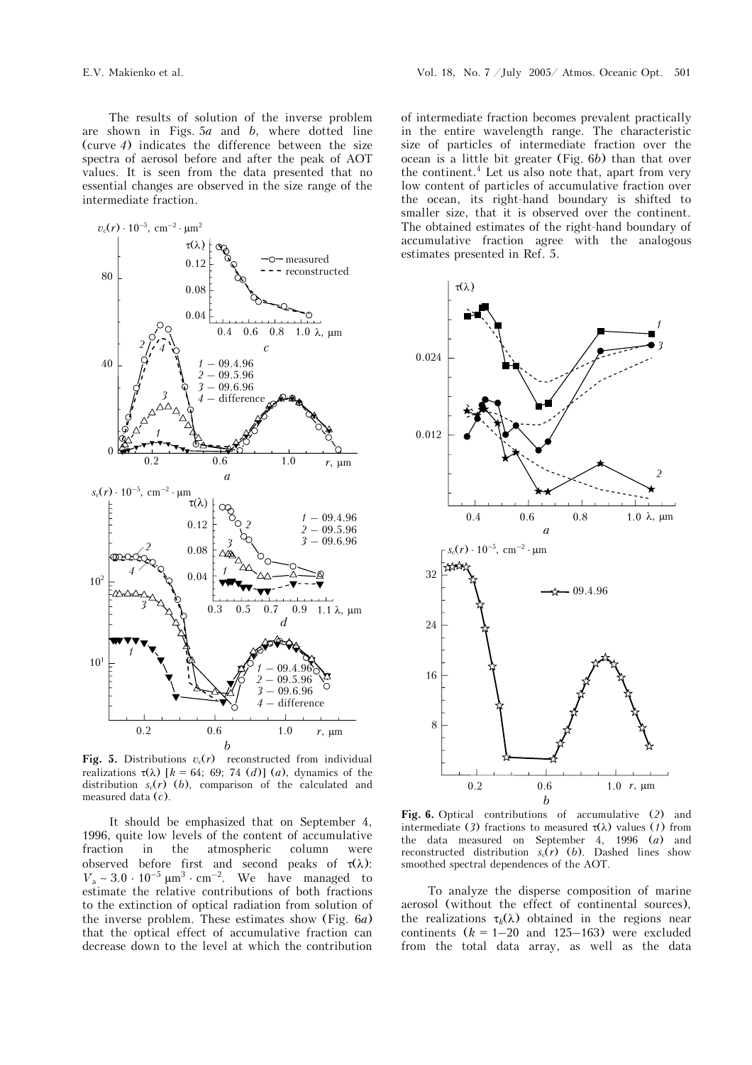The results of solution of the inverse problem are shown in Figs. 5*a* and *b*, where dotted line (curve *4*) indicates the difference between the size spectra of aerosol before and after the peak of AOT values. It is seen from the data presented that no essential changes are observed in the size range of the intermediate fraction.



**Fig. 5.** Distributions  $v_c(r)$  reconstructed from individual realizations  $\tau(\lambda)$  [ $k = 64$ ; 69; 74 (*d*)] (*a*), dynamics of the distribution  $s_c(r)$  (*b*), comparison of the calculated and measured data (*c*).

It should be emphasized that on September 4, 1996, quite low levels of the content of accumulative fraction in the atmospheric column were observed before first and second peaks of  $\tau(\lambda)$ :  $V_a \sim 3.0 \cdot 10^{-5} \mu m^3 \cdot cm^{-2}$ . We have managed to estimate the relative contributions of both fractions to the extinction of optical radiation from solution of the inverse problem. These estimates show (Fig. 6*a*) that the optical effect of accumulative fraction can decrease down to the level at which the contribution

of intermediate fraction becomes prevalent practically in the entire wavelength range. The characteristic size of particles of intermediate fraction over the ocean is a little bit greater (Fig. 6*b*) than that over the continent.<sup>4</sup> Let us also note that, apart from very low content of particles of accumulative fraction over the ocean, its right-hand boundary is shifted to smaller size, that it is observed over the continent. The obtained estimates of the right-hand boundary of accumulative fraction agree with the analogous estimates presented in Ref. 5.



**Fig. 6.** Optical contributions of accumulative (*2*) and intermediate (3) fractions to measured  $\tau(\lambda)$  values (1) from the data measured on September 4, 1996 (*a*) and reconstructed distribution  $s_c(r)$  (*b*). Dashed lines show smoothed spectral dependences of the AOT.

To analyze the disperse composition of marine aerosol (without the effect of continental sources), the realizations  $\tau_k(\lambda)$  obtained in the regions near continents  $(k = 1-20$  and 125–163) were excluded from the total data array, as well as the data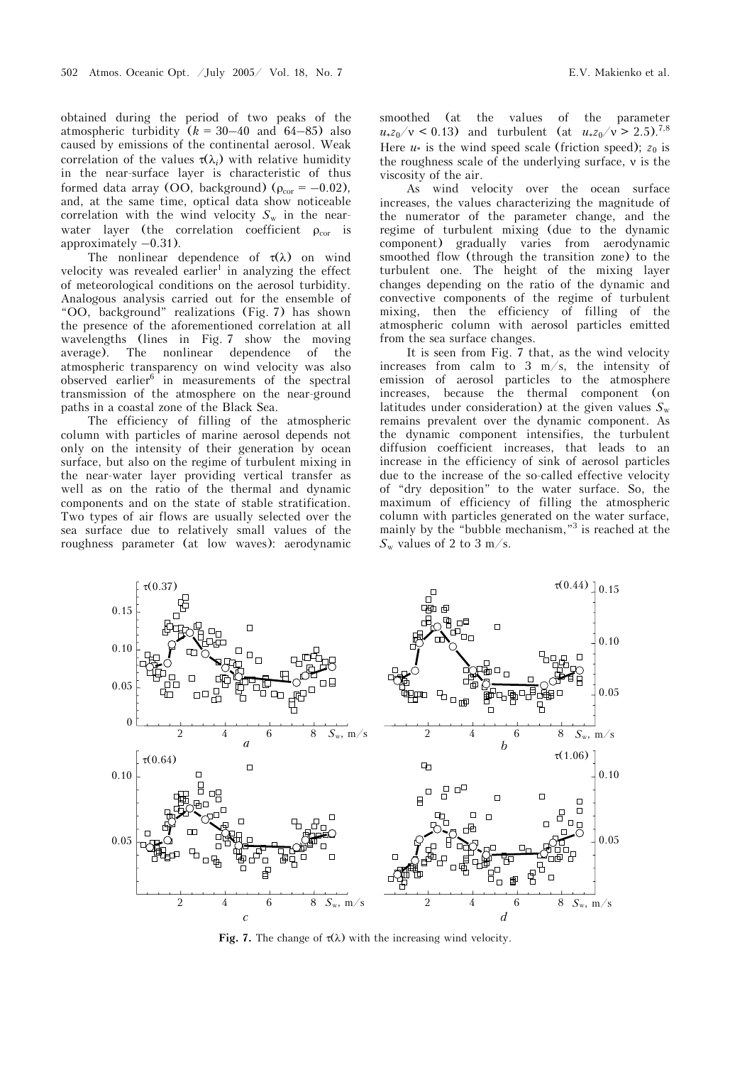obtained during the period of two peaks of the atmospheric turbidity  $(k = 30-40$  and  $64-85)$  also caused by emissions of the continental aerosol. Weak correlation of the values  $\tau(\lambda_i)$  with relative humidity in the near-surface layer is characteristic of thus formed data array (OO, background) ( $\rho_{cor} = -0.02$ ), and, at the same time, optical data show noticeable correlation with the wind velocity  $S_w$  in the nearwater layer (the correlation coefficient  $\rho_{\text{cor}}$  is approximately  $-0.31$ ).

The nonlinear dependence of  $\tau(\lambda)$  on wind velocity was revealed earlier<sup>1</sup> in analyzing the effect of meteorological conditions on the aerosol turbidity. Analogous analysis carried out for the ensemble of "OO, background" realizations (Fig. 7) has shown the presence of the aforementioned correlation at all wavelengths (lines in Fig. 7 show the moving average). The nonlinear dependence of the atmospheric transparency on wind velocity was also observed earlier<sup>6</sup> in measurements of the spectral transmission of the atmosphere on the near-ground paths in a coastal zone of the Black Sea.

The efficiency of filling of the atmospheric column with particles of marine aerosol depends not only on the intensity of their generation by ocean surface, but also on the regime of turbulent mixing in the near-water layer providing vertical transfer as well as on the ratio of the thermal and dynamic components and on the state of stable stratification. Two types of air flows are usually selected over the sea surface due to relatively small values of the roughness parameter (at low waves): aerodynamic smoothed (at the values of the parameter  $u_*z_0/v < 0.13$ ) and turbulent (at  $u_*z_0/v > 2.5$ ).<sup>7,8</sup> Here  $u^*$  is the wind speed scale (friction speed);  $z_0$  is the roughness scale of the underlying surface, ν is the viscosity of the air.

As wind velocity over the ocean surface increases, the values characterizing the magnitude of the numerator of the parameter change, and the regime of turbulent mixing (due to the dynamic component) gradually varies from aerodynamic smoothed flow (through the transition zone) to the turbulent one. The height of the mixing layer changes depending on the ratio of the dynamic and convective components of the regime of turbulent mixing, then the efficiency of filling of the atmospheric column with aerosol particles emitted from the sea surface changes.

It is seen from Fig. 7 that, as the wind velocity increases from calm to 3 m/s, the intensity of emission of aerosol particles to the atmosphere increases, because the thermal component (on latitudes under consideration) at the given values  $S_w$ remains prevalent over the dynamic component. As the dynamic component intensifies, the turbulent diffusion coefficient increases, that leads to an increase in the efficiency of sink of aerosol particles due to the increase of the so-called effective velocity of "dry deposition" to the water surface. So, the maximum of efficiency of filling the atmospheric column with particles generated on the water surface, mainly by the "bubble mechanism,"<sup>3</sup> is reached at the  $S_{\rm w}$  values of 2 to 3 m/s.



**Fig. 7.** The change of  $\tau(\lambda)$  with the increasing wind velocity.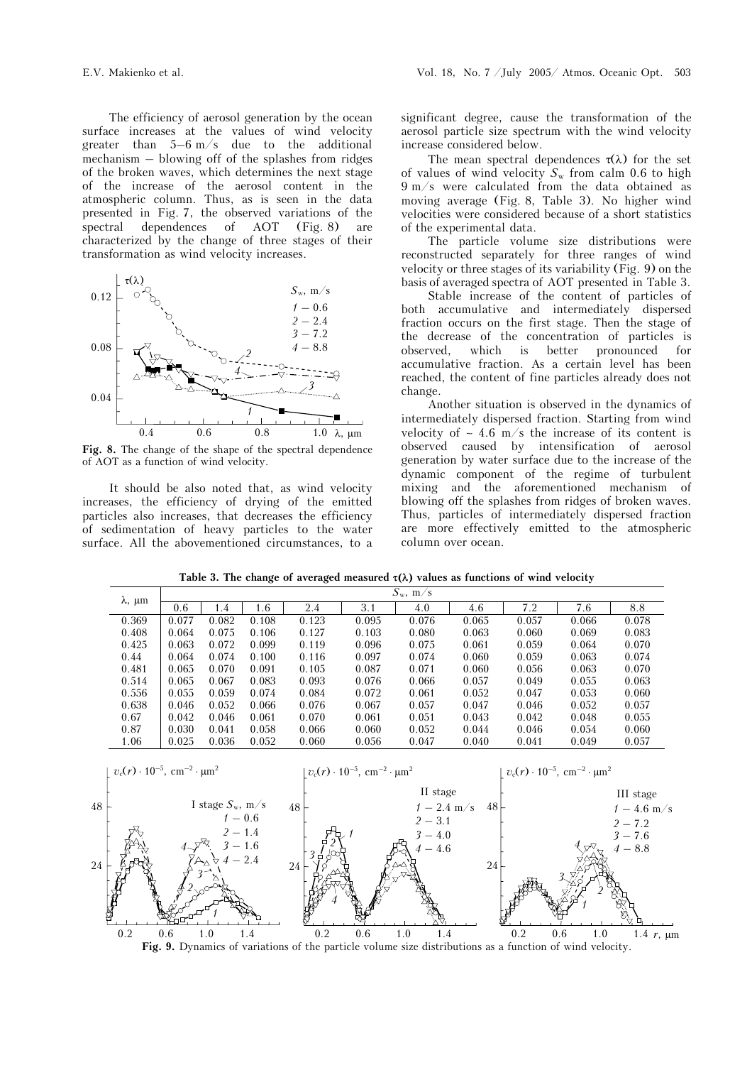The efficiency of aerosol generation by the ocean surface increases at the values of wind velocity greater than 5–6 m/s due to the additional mechanism – blowing off of the splashes from ridges of the broken waves, which determines the next stage of the increase of the aerosol content in the atmospheric column. Thus, as is seen in the data presented in Fig. 7, the observed variations of the spectral dependences of AOT (Fig. 8) are characterized by the change of three stages of their transformation as wind velocity increases.



**Fig. 8.** The change of the shape of the spectral dependence of AOT as a function of wind velocity.

It should be also noted that, as wind velocity increases, the efficiency of drying of the emitted particles also increases, that decreases the efficiency of sedimentation of heavy particles to the water surface. All the abovementioned circumstances, to a significant degree, cause the transformation of the aerosol particle size spectrum with the wind velocity increase considered below.

The mean spectral dependences  $\tau(\lambda)$  for the set of values of wind velocity  $S_w$  from calm 0.6 to high 9 m/s were calculated from the data obtained as moving average (Fig. 8, Table 3). No higher wind velocities were considered because of a short statistics of the experimental data.

The particle volume size distributions were reconstructed separately for three ranges of wind velocity or three stages of its variability (Fig. 9) on the basis of averaged spectra of AOT presented in Table 3.

Stable increase of the content of particles of both accumulative and intermediately dispersed fraction occurs on the first stage. Then the stage of the decrease of the concentration of particles is observed, which is better pronounced for accumulative fraction. As a certain level has been reached, the content of fine particles already does not change.

Another situation is observed in the dynamics of intermediately dispersed fraction. Starting from wind velocity of ∼ 4.6 m/s the increase of its content is observed caused by intensification of aerosol generation by water surface due to the increase of the dynamic component of the regime of turbulent mixing and the aforementioned mechanism of blowing off the splashes from ridges of broken waves. Thus, particles of intermediately dispersed fraction are more effectively emitted to the atmospheric column over ocean.

**Table 3. The change of averaged measured** τ**(**λ**) values as functions of wind velocity** 

| $\lambda$ , $\mu$ m | $S_{\rm w}$ , m/s |       |       |       |       |       |       |       |       |       |
|---------------------|-------------------|-------|-------|-------|-------|-------|-------|-------|-------|-------|
|                     | 0.6               | 1.4   | 1.6   | 2.4   | 3.1   | 4.0   | 4.6   | 7.2   | 7.6   | 8.8   |
| 0.369               | 0.077             | 0.082 | 0.108 | 0.123 | 0.095 | 0.076 | 0.065 | 0.057 | 0.066 | 0.078 |
| 0.408               | 0.064             | 0.075 | 0.106 | 0.127 | 0.103 | 0.080 | 0.063 | 0.060 | 0.069 | 0.083 |
| 0.425               | 0.063             | 0.072 | 0.099 | 0.119 | 0.096 | 0.075 | 0.061 | 0.059 | 0.064 | 0.070 |
| 0.44                | 0.064             | 0.074 | 0.100 | 0.116 | 0.097 | 0.074 | 0.060 | 0.059 | 0.063 | 0.074 |
| 0.481               | 0.065             | 0.070 | 0.091 | 0.105 | 0.087 | 0.071 | 0.060 | 0.056 | 0.063 | 0.070 |
| 0.514               | 0.065             | 0.067 | 0.083 | 0.093 | 0.076 | 0.066 | 0.057 | 0.049 | 0.055 | 0.063 |
| 0.556               | 0.055             | 0.059 | 0.074 | 0.084 | 0.072 | 0.061 | 0.052 | 0.047 | 0.053 | 0.060 |
| 0.638               | 0.046             | 0.052 | 0.066 | 0.076 | 0.067 | 0.057 | 0.047 | 0.046 | 0.052 | 0.057 |
| 0.67                | 0.042             | 0.046 | 0.061 | 0.070 | 0.061 | 0.051 | 0.043 | 0.042 | 0.048 | 0.055 |
| 0.87                | 0.030             | 0.041 | 0.058 | 0.066 | 0.060 | 0.052 | 0.044 | 0.046 | 0.054 | 0.060 |
| 1.06                | 0.025             | 0.036 | 0.052 | 0.060 | 0.056 | 0.047 | 0.040 | 0.041 | 0.049 | 0.057 |
|                     |                   |       |       |       |       |       |       |       |       |       |



**Fig. 9.** Dynamics of variations of the particle volume size distributions as a function of wind velocity.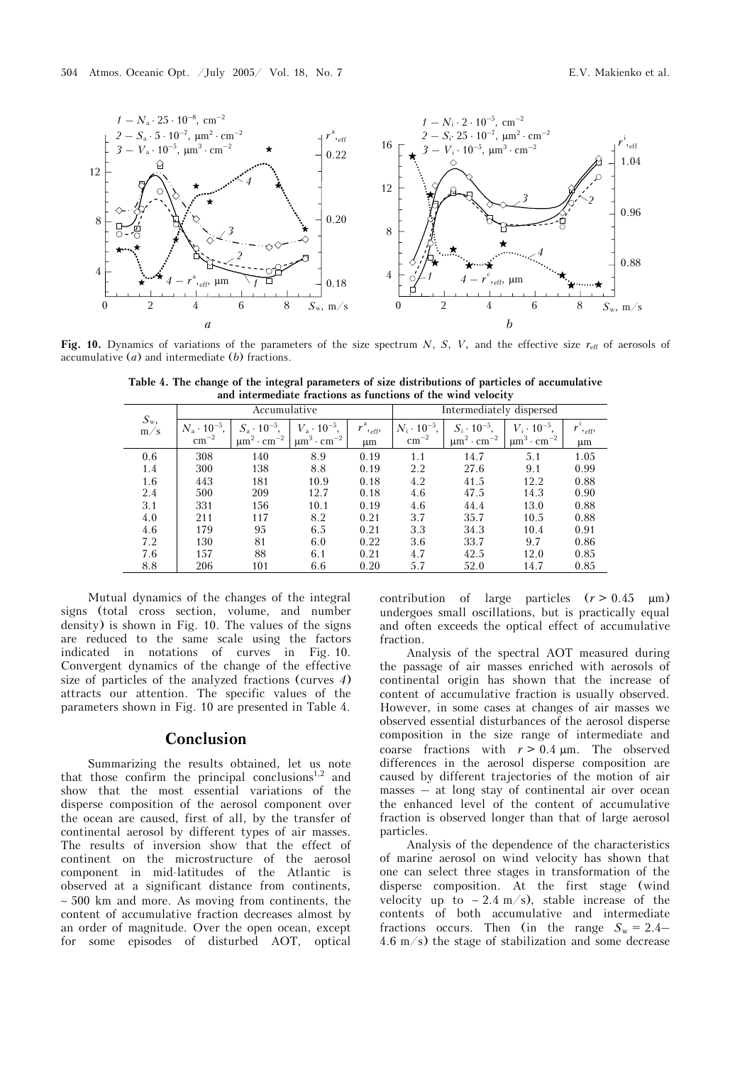

**Fig. 10.** Dynamics of variations of the parameters of the size spectrum  $N$ ,  $S$ ,  $V$ , and the effective size  $r_{\text{eff}}$  of aerosols of accumulative (*a*) and intermediate (*b*) fractions.

| $S_{w}$<br>m/s |                                             | Accumulative                                                           |                                                                                      |                                       | Intermediately dispersed                     |                                                                  |                                                                       |                         |
|----------------|---------------------------------------------|------------------------------------------------------------------------|--------------------------------------------------------------------------------------|---------------------------------------|----------------------------------------------|------------------------------------------------------------------|-----------------------------------------------------------------------|-------------------------|
|                | $N_{\rm a}\cdot 10^{-5}$ .<br>$\rm cm^{-2}$ | $S_{\rm a} \cdot 10^{-5}$ ,<br>$\mu$ m <sup>2</sup> · cm <sup>-2</sup> | $V_{\rm a} \cdot 10^{-5}$ ,<br>$\sim$ cm <sup>-2</sup> $\pm$<br>$\mu$ m <sup>3</sup> | $r^{\rm a}$<br>$,$ eff $,$<br>$\mu$ m | $N_{\rm i} \cdot 10^{-5}$ ,<br>$\rm cm^{-2}$ | $S_i \cdot 10^{-5}$ ,<br>$\mu$ m <sup>2</sup> · cm <sup>-2</sup> | $10^{-5}$<br>$V_{\cdot}$ .<br>$\mu$ m <sup>3</sup> · cm <sup>-2</sup> | $r_{\text{reff}}$<br>μm |
| 0.6            | 308                                         | 140                                                                    | 8.9                                                                                  | 0.19                                  | 1.1                                          | 14.7                                                             | 5.1                                                                   | 1.05                    |
| 1.4            | 300                                         | 138                                                                    | 8.8                                                                                  | 0.19                                  | 2.2                                          | 27.6                                                             | 9.1                                                                   | 0.99                    |
| 1.6            | 443                                         | 181                                                                    | 10.9                                                                                 | 0.18                                  | 4.2                                          | 41.5                                                             | 12.2                                                                  | 0.88                    |
| 2.4            | 500                                         | 209                                                                    | 12.7                                                                                 | 0.18                                  | 4.6                                          | 47.5                                                             | 14.3                                                                  | 0.90                    |
| 3.1            | 331                                         | 156                                                                    | 10.1                                                                                 | 0.19                                  | 4.6                                          | 44.4                                                             | 13.0                                                                  | 0.88                    |
| 4.0            | 211                                         | 117                                                                    | 8.2                                                                                  | 0.21                                  | 3.7                                          | 35.7                                                             | 10.5                                                                  | 0.88                    |
| 4.6            | 179                                         | 95                                                                     | 6.5                                                                                  | 0.21                                  | 3.3                                          | 34.3                                                             | 10.4                                                                  | 0.91                    |
| 7.2            | 130                                         | 81                                                                     | 6.0                                                                                  | 0.22                                  | 3.6                                          | 33.7                                                             | 9.7                                                                   | 0.86                    |
| 7.6            | 157                                         | 88                                                                     | 6.1                                                                                  | 0.21                                  | 4.7                                          | 42.5                                                             | 12.0                                                                  | 0.85                    |
| 8.8            | 206                                         | 101                                                                    | 6.6                                                                                  | 0.20                                  | 5.7                                          | 52.0                                                             | 14.7                                                                  | 0.85                    |

**Table 4. The change of the integral parameters of size distributions of particles of accumulative and intermediate fractions as functions of the wind velocity** 

Mutual dynamics of the changes of the integral signs (total cross section, volume, and number density) is shown in Fig. 10. The values of the signs are reduced to the same scale using the factors indicated in notations of curves in Fig. 10. Convergent dynamics of the change of the effective size of particles of the analyzed fractions (curves *4*) attracts our attention. The specific values of the parameters shown in Fig. 10 are presented in Table 4.

## **Conclusion**

Summarizing the results obtained, let us note that those confirm the principal conclusions<sup>1,2</sup> and show that the most essential variations of the disperse composition of the aerosol component over the ocean are caused, first of all, by the transfer of continental aerosol by different types of air masses. The results of inversion show that the effect of continent on the microstructure of the aerosol component in mid-latitudes of the Atlantic is observed at a significant distance from continents, ∼ 500 km and more. As moving from continents, the content of accumulative fraction decreases almost by an order of magnitude. Over the open ocean, except for some episodes of disturbed AOT, optical contribution of large particles  $(r > 0.45 \mu m)$ undergoes small oscillations, but is practically equal and often exceeds the optical effect of accumulative fraction.

Analysis of the spectral AOT measured during the passage of air masses enriched with aerosols of continental origin has shown that the increase of content of accumulative fraction is usually observed. However, in some cases at changes of air masses we observed essential disturbances of the aerosol disperse composition in the size range of intermediate and coarse fractions with  $r > 0.4 \mu m$ . The observed differences in the aerosol disperse composition are caused by different trajectories of the motion of air masses – at long stay of continental air over ocean the enhanced level of the content of accumulative fraction is observed longer than that of large aerosol particles.

Analysis of the dependence of the characteristics of marine aerosol on wind velocity has shown that one can select three stages in transformation of the disperse composition. At the first stage (wind velocity up to ~2.4 m/s), stable increase of the contents of both accumulative and intermediate fractions occurs. Then (in the range  $S_w = 2.4$ – 4.6 m/s) the stage of stabilization and some decrease